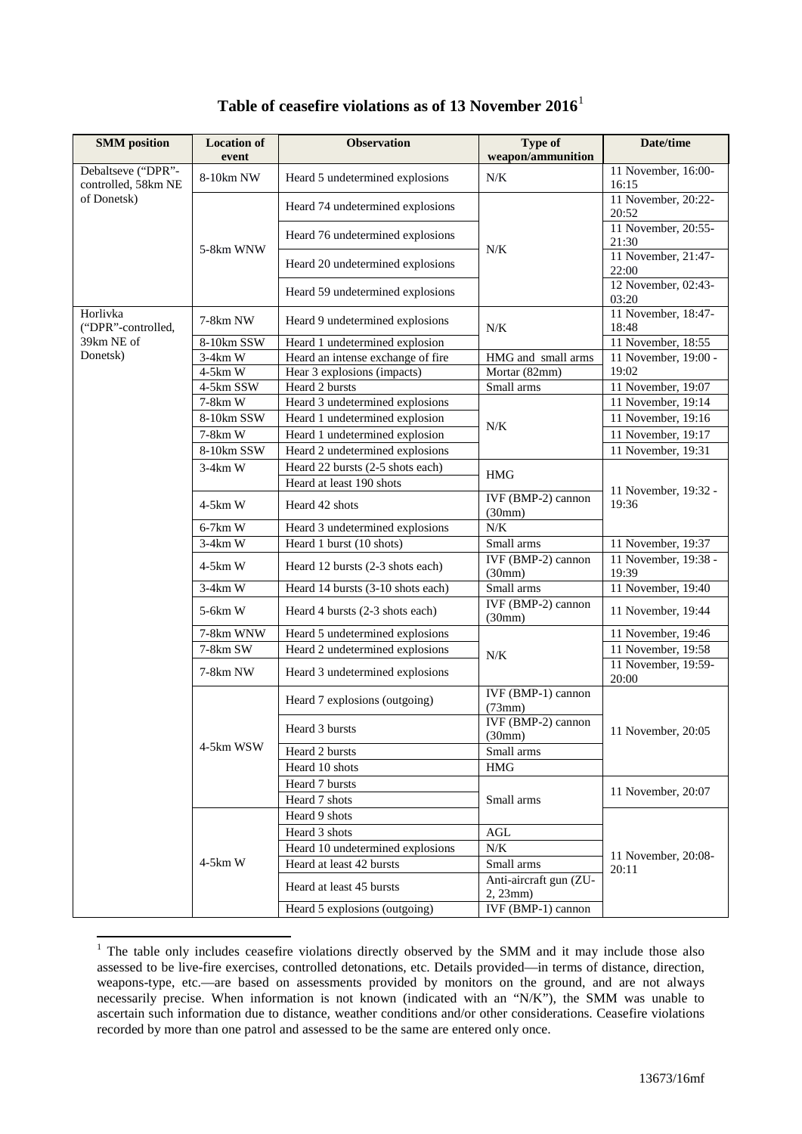| <b>SMM</b> position                       | <b>Location of</b><br>event | <b>Observation</b>                | <b>Type of</b><br>weapon/ammunition | Date/time                     |
|-------------------------------------------|-----------------------------|-----------------------------------|-------------------------------------|-------------------------------|
| Debaltseve ("DPR"-<br>controlled, 58km NE | 8-10km NW                   | Heard 5 undetermined explosions   | N/K                                 | 11 November, 16:00-<br>16:15  |
| of Donetsk)                               |                             | Heard 74 undetermined explosions  |                                     | 11 November, 20:22-<br>20:52  |
|                                           | 5-8km WNW                   | Heard 76 undetermined explosions  | N/K                                 | 11 November, 20:55-<br>21:30  |
|                                           |                             | Heard 20 undetermined explosions  |                                     | 11 November, 21:47-<br>22:00  |
|                                           |                             | Heard 59 undetermined explosions  |                                     | 12 November, 02:43-<br>03:20  |
| Horlivka<br>("DPR"-controlled,            | 7-8km NW                    | Heard 9 undetermined explosions   | $N/K$                               | 11 November, 18:47-<br>18:48  |
| 39km NE of                                | 8-10km SSW                  | Heard 1 undetermined explosion    |                                     | 11 November, 18:55            |
| Donetsk)                                  | 3-4km W                     | Heard an intense exchange of fire | HMG and small arms                  | 11 November, 19:00 -          |
|                                           | $4-5km$ W                   | Hear 3 explosions (impacts)       | Mortar (82mm)                       | 19:02                         |
|                                           | 4-5km SSW                   | Heard 2 bursts                    | Small arms                          | 11 November, 19:07            |
|                                           | 7-8km W                     | Heard 3 undetermined explosions   |                                     | 11 November, 19:14            |
|                                           | 8-10km SSW                  | Heard 1 undetermined explosion    |                                     | 11 November, 19:16            |
|                                           | 7-8km W                     | Heard 1 undetermined explosion    | N/K                                 | 11 November, 19:17            |
|                                           | 8-10km SSW                  | Heard 2 undetermined explosions   |                                     | 11 November, 19:31            |
|                                           | $3-4km$ W                   | Heard 22 bursts (2-5 shots each)  |                                     |                               |
|                                           |                             | Heard at least 190 shots          | <b>HMG</b>                          |                               |
|                                           | $4-5km$ W                   | Heard 42 shots                    | IVF (BMP-2) cannon<br>(30mm)        | 11 November, 19:32 -<br>19:36 |
|                                           | 6-7km W                     | Heard 3 undetermined explosions   | $N/K$                               |                               |
|                                           | $3-4km$ W                   | Heard 1 burst (10 shots)          | Small arms                          | 11 November, 19:37            |
|                                           | $4-5km$ W                   | Heard 12 bursts (2-3 shots each)  | IVF (BMP-2) cannon<br>(30mm)        | 11 November, 19:38 -<br>19:39 |
|                                           | $3-4km$ W                   | Heard 14 bursts (3-10 shots each) | Small arms                          | 11 November, 19:40            |
|                                           | 5-6km W                     | Heard 4 bursts (2-3 shots each)   | IVF (BMP-2) cannon<br>(30mm)        | 11 November, 19:44            |
|                                           | 7-8km WNW                   | Heard 5 undetermined explosions   |                                     | 11 November, 19:46            |
|                                           | 7-8km SW                    | Heard 2 undetermined explosions   |                                     | 11 November, 19:58            |
|                                           | 7-8km NW                    | Heard 3 undetermined explosions   | N/K                                 | 11 November, 19:59-<br>20:00  |
|                                           |                             | Heard 7 explosions (outgoing)     | IVF (BMP-1) cannon<br>(73mm)        |                               |
|                                           |                             | Heard 3 bursts                    | IVF (BMP-2) cannon<br>(30mm)        | 11 November, 20:05            |
|                                           | 4-5km WSW                   | Heard 2 bursts                    | Small arms                          |                               |
|                                           |                             | Heard 10 shots                    | HMG                                 |                               |
|                                           |                             | Heard 7 bursts                    |                                     |                               |
|                                           |                             | Heard 7 shots                     | Small arms                          | 11 November, 20:07            |
|                                           |                             | Heard 9 shots                     |                                     |                               |
|                                           |                             | Heard 3 shots                     | $\operatorname{AGL}$                |                               |
|                                           |                             | Heard 10 undetermined explosions  | $N\!/\!K$                           |                               |
|                                           | $4-5km$ W                   | Heard at least 42 bursts          | Small arms                          | 11 November, 20:08-           |
|                                           |                             | Heard at least 45 bursts          | Anti-aircraft gun (ZU-<br>2, 23mm)  | 20:11                         |
|                                           |                             | Heard 5 explosions (outgoing)     | IVF (BMP-1) cannon                  |                               |

## **Table of ceasefire violations as of 13 November 2016**[1](#page-0-0)

<span id="page-0-0"></span><sup>&</sup>lt;sup>1</sup> The table only includes ceasefire violations directly observed by the SMM and it may include those also assessed to be live-fire exercises, controlled detonations, etc. Details provided—in terms of distance, direction, weapons-type, etc.—are based on assessments provided by monitors on the ground, and are not always necessarily precise. When information is not known (indicated with an "N/K"), the SMM was unable to ascertain such information due to distance, weather conditions and/or other considerations. Ceasefire violations recorded by more than one patrol and assessed to be the same are entered only once.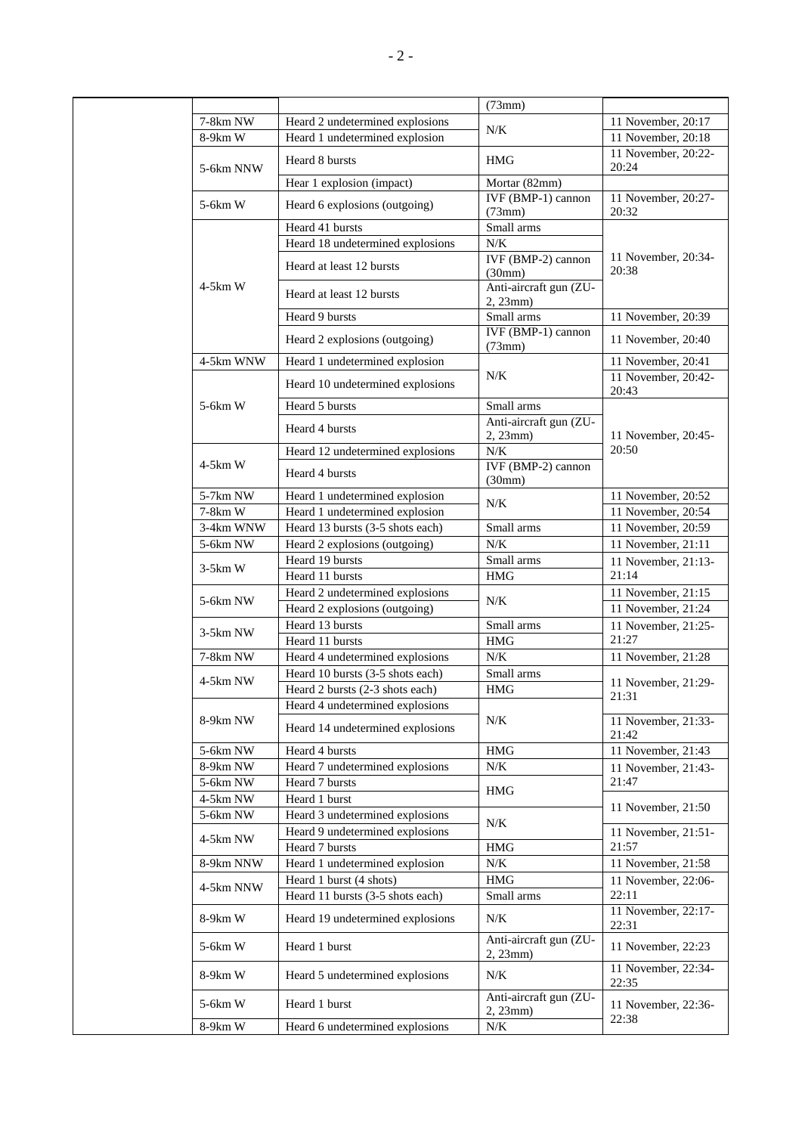|            |                                                             | (73mm)                             |                                          |
|------------|-------------------------------------------------------------|------------------------------------|------------------------------------------|
| 7-8km NW   | Heard 2 undetermined explosions                             |                                    | 11 November, 20:17                       |
| 8-9km W    | Heard 1 undetermined explosion                              | N/K                                | $\overline{11}$ November, 20:18          |
| 5-6km NNW  | Heard 8 bursts                                              | <b>HMG</b>                         | 11 November, 20:22-<br>20:24             |
|            | Hear 1 explosion (impact)                                   | Mortar (82mm)                      |                                          |
| 5-6km W    | Heard 6 explosions (outgoing)                               | IVF (BMP-1) cannon<br>(73mm)       | 11 November, 20:27-<br>20:32             |
|            | Heard 41 bursts                                             | Small arms                         |                                          |
|            | Heard 18 undetermined explosions                            | N/K                                |                                          |
|            | Heard at least 12 bursts                                    | IVF (BMP-2) cannon<br>(30mm)       | 11 November, 20:34-<br>20:38             |
| $4-5km$ W  | Heard at least 12 bursts                                    | Anti-aircraft gun (ZU-<br>2, 23mm) |                                          |
|            | Heard 9 bursts                                              | Small arms                         | 11 November, 20:39                       |
|            | Heard 2 explosions (outgoing)                               | IVF (BMP-1) cannon<br>(73mm)       | 11 November, 20:40                       |
| 4-5km WNW  | Heard 1 undetermined explosion                              |                                    | 11 November, 20:41                       |
|            | Heard 10 undetermined explosions                            | N/K                                | 11 November, 20:42-<br>20:43             |
| 5-6km W    | Heard 5 bursts                                              | Small arms                         |                                          |
|            | Heard 4 bursts                                              | Anti-aircraft gun (ZU-<br>2, 23mm  | 11 November, 20:45-                      |
|            | Heard 12 undetermined explosions                            | $N/K$                              | 20:50                                    |
| $4-5km$ W  | Heard 4 bursts                                              | IVF (BMP-2) cannon<br>(30mm)       |                                          |
| 5-7km NW   | Heard 1 undetermined explosion                              | N/K                                | 11 November, 20:52                       |
| 7-8km W    | Heard 1 undetermined explosion                              |                                    | 11 November, 20:54                       |
| 3-4km WNW  | Heard 13 bursts (3-5 shots each)                            | Small arms                         | 11 November, 20:59                       |
| $5-6km$ NW | Heard 2 explosions (outgoing)                               | $N/K$                              | 11 November, 21:11                       |
| $3-5km$ W  | Heard 19 bursts                                             | Small arms                         | 11 November, 21:13-                      |
|            | Heard 11 bursts                                             | <b>HMG</b>                         | 21:14                                    |
| 5-6km NW   | Heard 2 undetermined explosions                             | N/K                                | 11 November, 21:15<br>11 November, 21:24 |
|            | Heard 2 explosions (outgoing)<br>Heard 13 bursts            | Small arms                         | 11 November, 21:25-                      |
| 3-5km NW   | Heard 11 bursts                                             | <b>HMG</b>                         | 21:27                                    |
| 7-8km NW   | Heard 4 undetermined explosions                             | N/K                                | 11 November, 21:28                       |
|            | Heard 10 bursts (3-5 shots each)                            | Small arms                         |                                          |
| 4-5km NW   | Heard 2 bursts (2-3 shots each)                             | <b>HMG</b>                         | 11 November, 21:29-                      |
|            | Heard 4 undetermined explosions                             |                                    | 21:31                                    |
| 8-9km NW   | Heard 14 undetermined explosions                            | N/K                                | 11 November, 21:33-<br>21:42             |
| 5-6km NW   | Heard 4 bursts                                              | <b>HMG</b>                         | 11 November, 21:43                       |
| 8-9km NW   | Heard 7 undetermined explosions                             | $N\!/\!K$                          | 11 November, 21:43-                      |
| 5-6km NW   | Heard 7 bursts                                              | <b>HMG</b>                         | 21:47                                    |
| 4-5km NW   | Heard 1 burst                                               |                                    | 11 November, 21:50                       |
| 5-6km NW   | Heard 3 undetermined explosions                             | N/K                                |                                          |
| 4-5km NW   | Heard 9 undetermined explosions                             |                                    | 11 November, 21:51-                      |
|            | Heard 7 bursts                                              | <b>HMG</b>                         | 21:57                                    |
| 8-9km NNW  | Heard 1 undetermined explosion                              | $N\!/\!K$                          | 11 November, 21:58                       |
| 4-5km NNW  | Heard 1 burst (4 shots)<br>Heard 11 bursts (3-5 shots each) | <b>HMG</b><br>Small arms           | 11 November, 22:06-<br>22:11             |
| 8-9km W    | Heard 19 undetermined explosions                            | N/K                                | 11 November, 22:17-<br>22:31             |
| 5-6km W    | Heard 1 burst                                               | Anti-aircraft gun (ZU-<br>2, 23mm) | 11 November, 22:23                       |
| 8-9km W    | Heard 5 undetermined explosions                             | N/K                                | 11 November, 22:34-<br>22:35             |
| 5-6km W    | Heard 1 burst                                               | Anti-aircraft gun (ZU-<br>2, 23mm) | 11 November, 22:36-                      |
| 8-9km W    | Heard 6 undetermined explosions                             | N/K                                | 22:38                                    |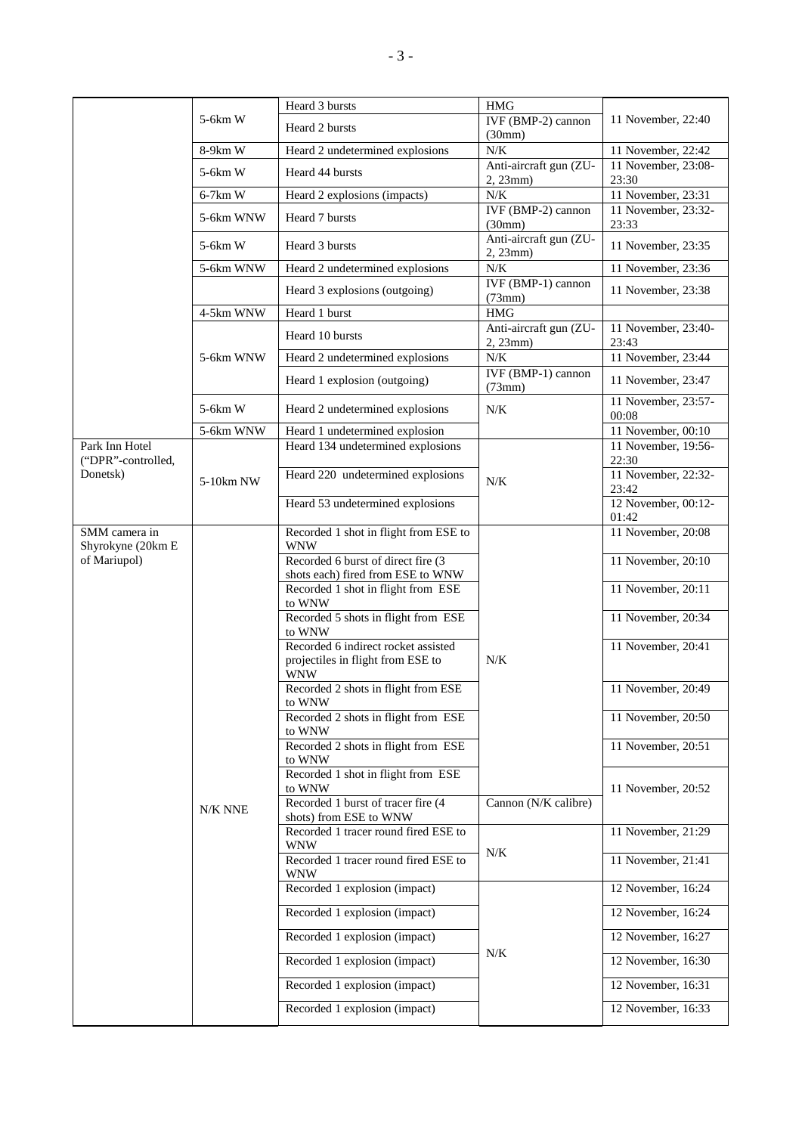|                                    |           | Heard 3 bursts                                                           | <b>HMG</b>                                       |                                       |
|------------------------------------|-----------|--------------------------------------------------------------------------|--------------------------------------------------|---------------------------------------|
|                                    | 5-6km W   | Heard 2 bursts                                                           | IVF (BMP-2) cannon<br>(30mm)                     | 11 November, 22:40                    |
|                                    | 8-9km W   | Heard 2 undetermined explosions                                          | $N/K$                                            | 11 November, 22:42                    |
|                                    | 5-6km W   | Heard 44 bursts                                                          | Anti-aircraft gun (ZU-<br>2, 23mm)               | 11 November, 23:08-<br>23:30          |
|                                    | $6-7km$ W | Heard 2 explosions (impacts)                                             | $N/K$                                            | 11 November, 23:31                    |
|                                    | 5-6km WNW | Heard 7 bursts                                                           | IVF (BMP-2) cannon                               | 11 November, 23:32-                   |
|                                    |           |                                                                          | (30mm)                                           | 23:33                                 |
|                                    | 5-6km W   | Heard 3 bursts                                                           | Anti-aircraft gun (ZU-<br>2, 23mm)               | 11 November, 23:35                    |
|                                    | 5-6km WNW | Heard 2 undetermined explosions                                          | $N/K$                                            | 11 November, 23:36                    |
|                                    |           | Heard 3 explosions (outgoing)                                            | IVF (BMP-1) cannon<br>(73mm)                     | 11 November, 23:38                    |
|                                    | 4-5km WNW | Heard 1 burst                                                            | HMG                                              |                                       |
|                                    |           | Heard 10 bursts                                                          | Anti-aircraft gun (ZU-<br>2, 23mm)               | 11 November, 23:40-<br>23:43          |
|                                    | 5-6km WNW | Heard 2 undetermined explosions                                          | $N/K$                                            | 11 November, 23:44                    |
|                                    |           | Heard 1 explosion (outgoing)                                             | $\overline{\text{IVF (BMP-1)}}$ cannon<br>(73mm) | 11 November, 23:47                    |
|                                    | $5-6km$ W | Heard 2 undetermined explosions                                          | N/K                                              | 11 November, 23:57-<br>00:08          |
|                                    | 5-6km WNW | Heard 1 undetermined explosion                                           |                                                  | 11 November, 00:10                    |
| Park Inn Hotel                     |           | Heard 134 undetermined explosions                                        |                                                  | 11 November, 19:56-                   |
| ("DPR"-controlled,<br>Donetsk)     | 5-10km NW | Heard 220 undetermined explosions                                        | N/K                                              | 22:30<br>11 November, 22:32-<br>23:42 |
|                                    |           | Heard 53 undetermined explosions                                         |                                                  | 12 November, 00:12-<br>01:42          |
| SMM camera in<br>Shyrokyne (20km E |           | Recorded 1 shot in flight from ESE to<br><b>WNW</b>                      |                                                  | 11 November, 20:08                    |
| of Mariupol)                       |           | Recorded 6 burst of direct fire (3<br>shots each) fired from ESE to WNW  |                                                  | 11 November, 20:10                    |
|                                    |           | Recorded 1 shot in flight from ESE<br>to WNW                             |                                                  | 11 November, 20:11                    |
|                                    |           | Recorded 5 shots in flight from ESE<br>to WNW                            |                                                  | 11 November, 20:34                    |
|                                    |           | Recorded 6 indirect rocket assisted<br>projectiles in flight from ESE to | $N/K$                                            | 11 November, 20:41                    |
|                                    |           | <b>WNW</b><br>Recorded 2 shots in flight from ESE                        |                                                  | 11 November, 20:49                    |
|                                    |           | to WNW                                                                   |                                                  |                                       |
|                                    |           | Recorded 2 shots in flight from ESE<br>to WNW                            |                                                  | 11 November, 20:50                    |
|                                    |           | Recorded 2 shots in flight from ESE<br>to WNW                            |                                                  | 11 November, 20:51                    |
|                                    |           | Recorded 1 shot in flight from ESE<br>to WNW                             |                                                  | 11 November, 20:52                    |
|                                    | N/K NNE   | Recorded 1 burst of tracer fire (4<br>shots) from ESE to WNW             | Cannon (N/K calibre)                             |                                       |
|                                    |           | Recorded 1 tracer round fired ESE to<br><b>WNW</b>                       | $N\!/\!K$                                        | 11 November, 21:29                    |
|                                    |           | Recorded 1 tracer round fired ESE to<br><b>WNW</b>                       |                                                  | 11 November, 21:41                    |
|                                    |           | Recorded 1 explosion (impact)                                            |                                                  | 12 November, 16:24                    |
|                                    |           | Recorded 1 explosion (impact)                                            |                                                  | 12 November, 16:24                    |
|                                    |           | Recorded 1 explosion (impact)                                            | $N\!/\!K$                                        | 12 November, 16:27                    |
|                                    |           | Recorded 1 explosion (impact)                                            |                                                  | 12 November, 16:30                    |
|                                    |           | Recorded 1 explosion (impact)                                            |                                                  | 12 November, 16:31                    |
|                                    |           | Recorded 1 explosion (impact)                                            |                                                  | 12 November, 16:33                    |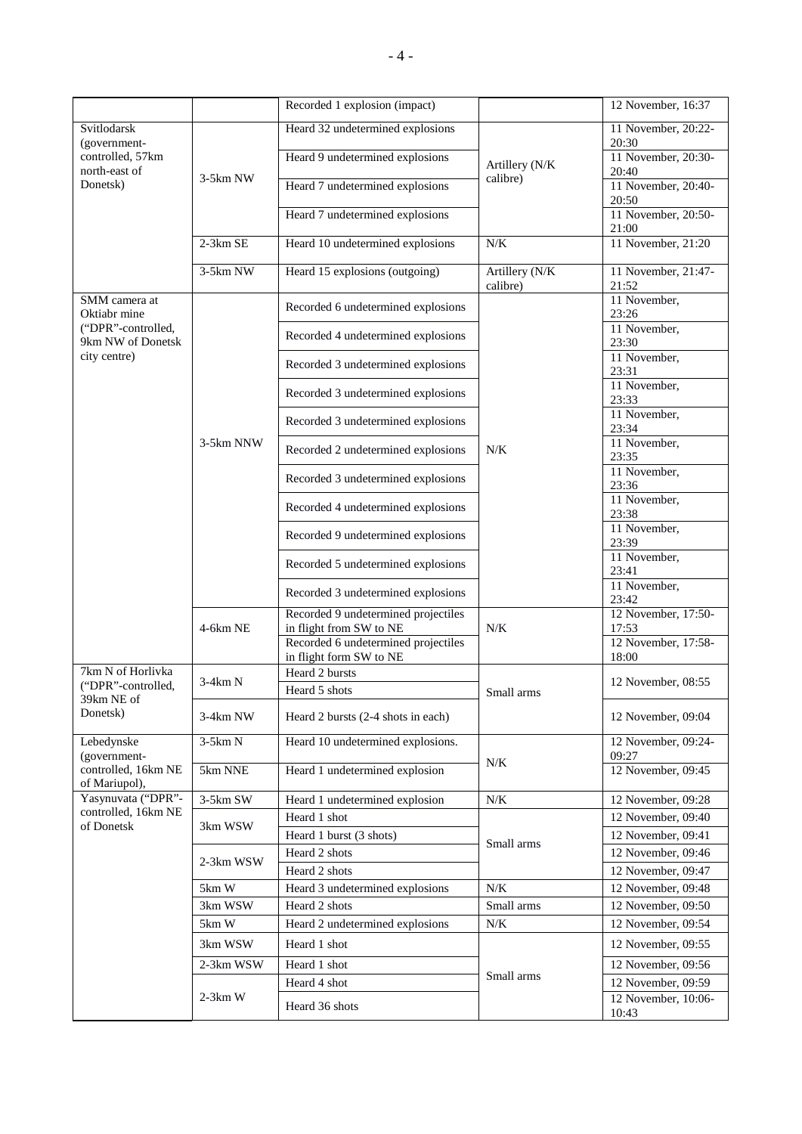|                                               |            | Recorded 1 explosion (impact)                                                                         |                            | 12 November, 16:37                                  |
|-----------------------------------------------|------------|-------------------------------------------------------------------------------------------------------|----------------------------|-----------------------------------------------------|
| Svitlodarsk<br>(government-                   |            | Heard 32 undetermined explosions                                                                      |                            | 11 November, 20:22-<br>20:30                        |
| controlled, 57km<br>north-east of<br>Donetsk) |            | Heard 9 undetermined explosions                                                                       | Artillery (N/K             | 11 November, 20:30-<br>20:40                        |
|                                               | 3-5km NW   | Heard 7 undetermined explosions                                                                       | calibre)                   | 11 November, 20:40-<br>20:50                        |
|                                               |            | Heard 7 undetermined explosions                                                                       |                            | 11 November, 20:50-<br>21:00                        |
|                                               | $2-3km$ SE | Heard 10 undetermined explosions                                                                      | N/K                        | 11 November, 21:20                                  |
|                                               | $3-5km$ NW | Heard 15 explosions (outgoing)                                                                        | Artillery (N/K<br>calibre) | 11 November, 21:47-<br>21:52                        |
| SMM camera at<br>Oktiabr mine                 |            | Recorded 6 undetermined explosions                                                                    |                            | 11 November,<br>23:26                               |
| ("DPR"-controlled,<br>9km NW of Donetsk       |            | Recorded 4 undetermined explosions                                                                    |                            | 11 November,<br>23:30                               |
| city centre)                                  |            | Recorded 3 undetermined explosions                                                                    |                            | 11 November,<br>23:31                               |
|                                               |            | Recorded 3 undetermined explosions                                                                    |                            | 11 November,<br>23:33                               |
|                                               |            | Recorded 3 undetermined explosions                                                                    |                            | 11 November,<br>23:34                               |
|                                               | 3-5km NNW  | Recorded 2 undetermined explosions                                                                    | N/K                        | 11 November,<br>23:35                               |
|                                               |            | Recorded 3 undetermined explosions                                                                    |                            | 11 November,<br>23:36                               |
|                                               |            | Recorded 4 undetermined explosions                                                                    |                            | 11 November,<br>23:38                               |
|                                               |            | Recorded 9 undetermined explosions                                                                    |                            | 11 November,<br>23:39                               |
|                                               |            | Recorded 5 undetermined explosions                                                                    |                            | 11 November,<br>23:41                               |
|                                               |            | Recorded 3 undetermined explosions                                                                    |                            | 11 November,<br>23:42                               |
|                                               | 4-6km NE   | Recorded 9 undetermined projectiles<br>in flight from SW to NE<br>Recorded 6 undetermined projectiles | $N/K$                      | 12 November, 17:50-<br>17:53<br>12 November, 17:58- |
| 7km N of Horlivka                             |            | in flight form SW to NE<br>Heard 2 bursts                                                             |                            | 18:00                                               |
| ("DPR"-controlled,                            | $3-4km N$  | Heard 5 shots                                                                                         | Small arms                 | 12 November, 08:55                                  |
| 39km NE of<br>Donetsk)                        | 3-4km NW   | Heard 2 bursts (2-4 shots in each)                                                                    |                            | 12 November, 09:04                                  |
| Lebedynske<br>(government-                    | $3-5km N$  | Heard 10 undetermined explosions.                                                                     |                            | 12 November, 09:24-<br>09:27                        |
| controlled, 16km NE<br>of Mariupol),          | 5km NNE    | Heard 1 undetermined explosion                                                                        | N/K                        | 12 November, 09:45                                  |
| Yasynuvata ("DPR"-                            | 3-5km SW   | Heard 1 undetermined explosion                                                                        | $N\!/\!K$                  | 12 November, 09:28                                  |
| controlled, 16km NE<br>of Donetsk             |            | Heard 1 shot                                                                                          |                            | 12 November, 09:40                                  |
|                                               | 3km WSW    | Heard 1 burst (3 shots)                                                                               |                            | 12 November, 09:41                                  |
|                                               |            | Heard 2 shots                                                                                         | Small arms                 | 12 November, 09:46                                  |
|                                               | 2-3km WSW  | Heard 2 shots                                                                                         |                            | 12 November, 09:47                                  |
|                                               | 5km W      | Heard 3 undetermined explosions                                                                       | $N/K$                      | 12 November, 09:48                                  |
|                                               | 3km WSW    | Heard 2 shots                                                                                         | Small arms                 | 12 November, 09:50                                  |
|                                               | 5km W      | Heard 2 undetermined explosions                                                                       | N/K                        | 12 November, 09:54                                  |
|                                               | 3km WSW    | Heard 1 shot                                                                                          |                            | 12 November, 09:55                                  |
|                                               | 2-3km WSW  | Heard 1 shot                                                                                          |                            | 12 November, 09:56                                  |
|                                               |            | Heard 4 shot                                                                                          | Small arms                 | 12 November, 09:59                                  |
|                                               | $2-3km$ W  | Heard 36 shots                                                                                        |                            | 12 November, 10:06-<br>10:43                        |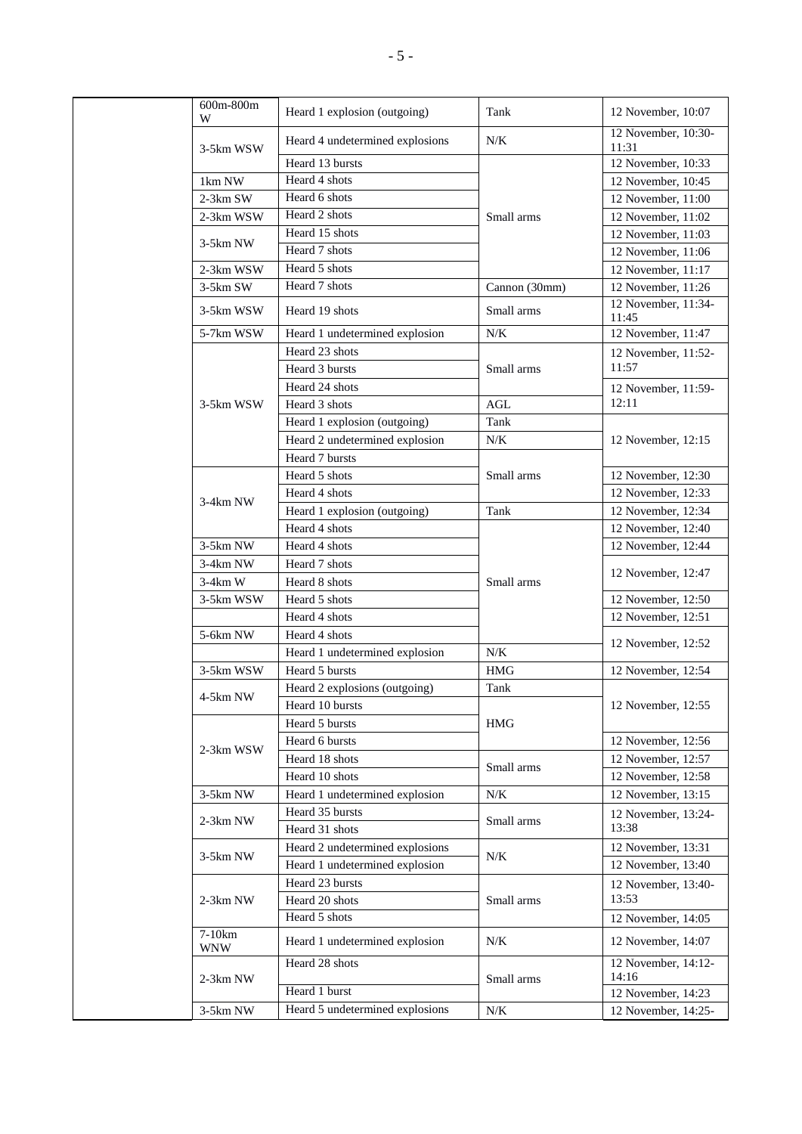| 600m-800m<br>W | Heard 1 explosion (outgoing)    | Tank          | 12 November, 10:07           |
|----------------|---------------------------------|---------------|------------------------------|
| 3-5km WSW      | Heard 4 undetermined explosions | N/K           | 12 November, 10:30-<br>11:31 |
|                | Heard 13 bursts                 |               | 12 November, 10:33           |
| 1km NW         | Heard 4 shots                   |               | 12 November, 10:45           |
| 2-3km SW       | Heard 6 shots                   |               | 12 November, 11:00           |
| 2-3km WSW      | Heard 2 shots                   | Small arms    | 12 November, 11:02           |
|                | Heard 15 shots                  |               | 12 November, 11:03           |
| 3-5km NW       | Heard 7 shots                   |               | 12 November, 11:06           |
| 2-3km WSW      | Heard 5 shots                   |               | 12 November, 11:17           |
| 3-5km SW       | Heard 7 shots                   | Cannon (30mm) | 12 November, 11:26           |
| 3-5km WSW      | Heard 19 shots                  | Small arms    | 12 November, 11:34-<br>11:45 |
| 5-7km WSW      | Heard 1 undetermined explosion  | N/K           | 12 November, 11:47           |
|                | Heard 23 shots                  |               | 12 November, 11:52-          |
|                | Heard 3 bursts                  | Small arms    | 11:57                        |
|                | Heard 24 shots                  |               | 12 November, 11:59-          |
| 3-5km WSW      | Heard 3 shots                   | AGL           | 12:11                        |
|                | Heard 1 explosion (outgoing)    | Tank          |                              |
|                | Heard 2 undetermined explosion  | N/K           | 12 November, 12:15           |
|                | Heard 7 bursts                  |               |                              |
|                | Heard 5 shots                   | Small arms    | 12 November, 12:30           |
| 3-4km NW       | Heard 4 shots                   |               | 12 November, 12:33           |
|                | Heard 1 explosion (outgoing)    | Tank          | 12 November, 12:34           |
|                | Heard 4 shots                   |               | 12 November, 12:40           |
| 3-5km NW       | Heard 4 shots                   |               | 12 November, 12:44           |
| 3-4km NW       | Heard 7 shots                   |               | 12 November, 12:47           |
| $3-4km$ W      | Heard 8 shots                   | Small arms    |                              |
| 3-5km WSW      | Heard 5 shots                   |               | 12 November, 12:50           |
|                | Heard 4 shots                   |               | 12 November, 12:51           |
| 5-6km NW       | Heard 4 shots                   |               | 12 November, 12:52           |
|                | Heard 1 undetermined explosion  | $N/K$         |                              |
| 3-5km WSW      | Heard 5 bursts                  | <b>HMG</b>    | 12 November, 12:54           |
| 4-5km NW       | Heard 2 explosions (outgoing)   | Tank          |                              |
|                | Heard 10 bursts                 |               | 12 November, 12:55           |
|                | Heard 5 bursts                  | <b>HMG</b>    |                              |
| 2-3km WSW      | Heard 6 bursts                  |               | 12 November, 12:56           |
|                | Heard 18 shots                  | Small arms    | 12 November, 12:57           |
|                | Heard 10 shots                  |               | 12 November, 12:58           |
| 3-5km NW       | Heard 1 undetermined explosion  | N/K           | 12 November, 13:15           |
| $2-3km$ NW     | Heard 35 bursts                 | Small arms    | 12 November, 13:24-          |
|                | Heard 31 shots                  |               | 13:38                        |
| 3-5km NW       | Heard 2 undetermined explosions | N/K           | 12 November, 13:31           |
|                | Heard 1 undetermined explosion  |               | 12 November, 13:40           |
|                | Heard 23 bursts                 |               | 12 November, 13:40-<br>13:53 |
| 2-3km NW       | Heard 20 shots<br>Heard 5 shots | Small arms    |                              |
| $7-10km$       |                                 |               | 12 November, 14:05           |
| <b>WNW</b>     | Heard 1 undetermined explosion  | N/K           | 12 November, 14:07           |
| 2-3km NW       | Heard 28 shots                  | Small arms    | 12 November, 14:12-<br>14:16 |
|                | Heard 1 burst                   |               | 12 November, 14:23           |
| 3-5km NW       | Heard 5 undetermined explosions | N/K           | 12 November, 14:25-          |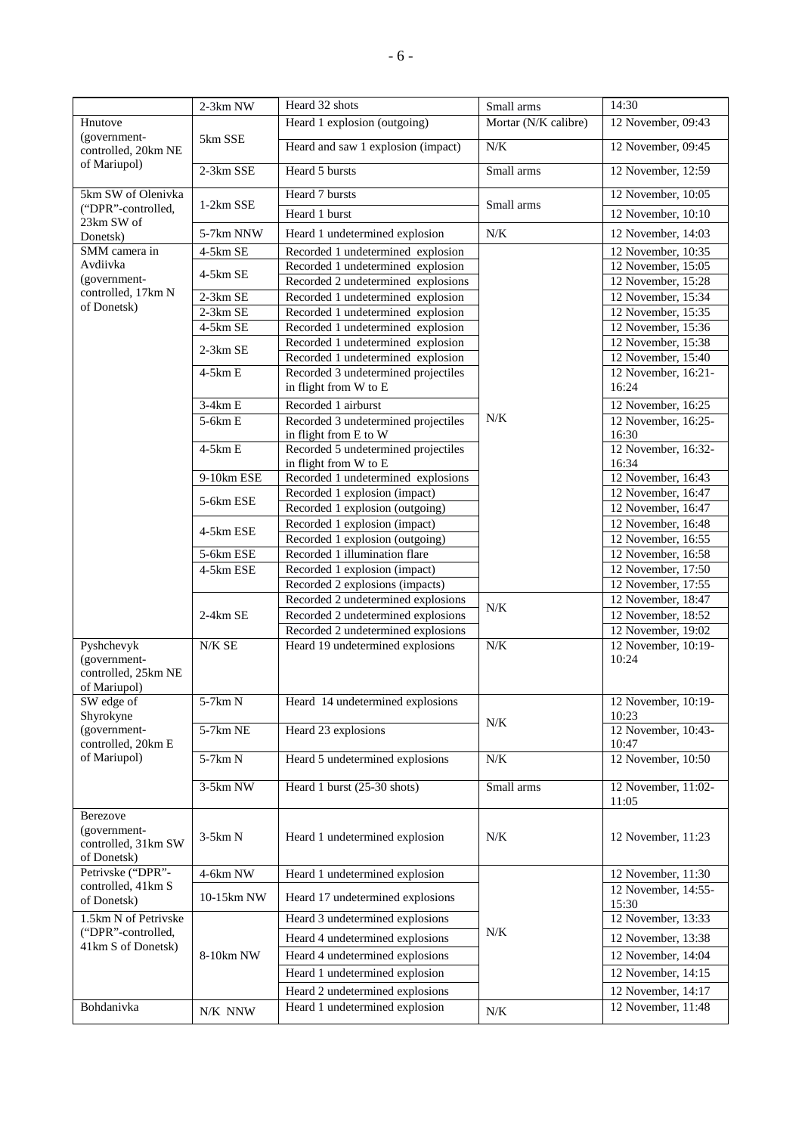|                                                                   | 2-3km NW             | Heard 32 shots                                                         | Small arms           | 14:30                                      |
|-------------------------------------------------------------------|----------------------|------------------------------------------------------------------------|----------------------|--------------------------------------------|
| Hnutove                                                           |                      | Heard 1 explosion (outgoing)                                           | Mortar (N/K calibre) | 12 November, 09:43                         |
| (government-<br>controlled, 20km NE                               | 5km SSE              | Heard and saw 1 explosion (impact)                                     | $N\!/\!K$            | 12 November, 09:45                         |
| of Mariupol)                                                      | 2-3km SSE            | Heard 5 bursts                                                         | Small arms           | 12 November, 12:59                         |
| 5km SW of Olenivka                                                |                      | Heard 7 bursts                                                         |                      | 12 November, 10:05                         |
| ("DPR"-controlled,                                                | 1-2km SSE            | Heard 1 burst                                                          | Small arms           | 12 November, 10:10                         |
| 23km SW of<br>Donetsk)                                            | 5-7km NNW            | Heard 1 undetermined explosion                                         | $N\!/\!K$            | 12 November, 14:03                         |
| SMM camera in                                                     | 4-5km SE             | Recorded 1 undetermined explosion                                      |                      | 12 November, 10:35                         |
| Avdiivka                                                          | 4-5km SE             | Recorded 1 undetermined explosion                                      |                      | 12 November, 15:05                         |
| (government-                                                      |                      | Recorded 2 undetermined explosions                                     |                      | 12 November, 15:28                         |
| controlled, 17km N<br>of Donetsk)                                 | $2-3km$ SE           | Recorded 1 undetermined explosion                                      |                      | 12 November, 15:34                         |
|                                                                   | 2-3km SE<br>4-5km SE | Recorded 1 undetermined explosion                                      |                      | 12 November, 15:35                         |
|                                                                   |                      | Recorded 1 undetermined explosion<br>Recorded 1 undetermined explosion |                      | $12$ November, 15:36<br>12 November, 15:38 |
|                                                                   | 2-3km SE             | Recorded 1 undetermined explosion                                      |                      | 12 November, 15:40                         |
|                                                                   | $4-5km E$            | Recorded 3 undetermined projectiles                                    |                      | 12 November, 16:21-                        |
|                                                                   |                      | in flight from W to E                                                  |                      | 16:24                                      |
|                                                                   | $3-4km E$            | Recorded 1 airburst                                                    |                      | 12 November, 16:25                         |
|                                                                   | 5-6km E              | Recorded 3 undetermined projectiles                                    | N/K                  | 12 November, 16:25-                        |
|                                                                   | $4-5km E$            | in flight from E to W<br>Recorded 5 undetermined projectiles           |                      | 16:30<br>12 November, 16:32-               |
|                                                                   |                      | in flight from W to E                                                  |                      | 16:34                                      |
|                                                                   | 9-10km ESE           | Recorded 1 undetermined explosions                                     |                      | 12 November, 16:43                         |
|                                                                   | 5-6km ESE            | Recorded 1 explosion (impact)                                          |                      | 12 November, 16:47                         |
|                                                                   |                      | Recorded 1 explosion (outgoing)                                        |                      | $12$ November, 16:47                       |
|                                                                   | 4-5km ESE            | Recorded 1 explosion (impact)                                          |                      | 12 November, 16:48                         |
|                                                                   | 5-6km ESE            | Recorded 1 explosion (outgoing)<br>Recorded 1 illumination flare       |                      | 12 November, 16:55<br>12 November, 16:58   |
|                                                                   | 4-5km ESE            | Recorded 1 explosion (impact)                                          |                      | 12 November, 17:50                         |
|                                                                   |                      | Recorded 2 explosions (impacts)                                        |                      | $12$ November, 17:55                       |
|                                                                   |                      | Recorded 2 undetermined explosions                                     | $N\!/\!K$            | 12 November, 18:47                         |
|                                                                   | $2-4km$ SE           | Recorded 2 undetermined explosions                                     |                      | 12 November, 18:52                         |
|                                                                   |                      | Recorded 2 undetermined explosions                                     |                      | 12 November, 19:02                         |
| Pyshchevyk<br>(government-<br>controlled, 25km NE<br>of Mariupol) | $N\!/\!K$ SE         | Heard 19 undetermined explosions                                       | N/K                  | 12 November, 10:19-<br>10:24               |
| SW edge of                                                        | $5-7km N$            | Heard 14 undetermined explosions                                       |                      | 12 November, 10:19-                        |
| Shyrokyne                                                         |                      |                                                                        | N/K                  | 10:23                                      |
| (government-<br>controlled, 20km E                                | 5-7km NE             | Heard 23 explosions                                                    |                      | 12 November, 10:43-<br>10:47               |
| of Mariupol)                                                      | $5-7km N$            | Heard 5 undetermined explosions                                        | N/K                  | 12 November, 10:50                         |
|                                                                   | 3-5km NW             | Heard 1 burst (25-30 shots)                                            | Small arms           | 12 November, 11:02-<br>11:05               |
| Berezove<br>(government-<br>controlled, 31km SW<br>of Donetsk)    | $3-5km N$            | Heard 1 undetermined explosion                                         | N/K                  | 12 November, 11:23                         |
| Petrivske ("DPR"-                                                 | 4-6km NW             | Heard 1 undetermined explosion                                         |                      | 12 November, 11:30                         |
| controlled, 41km S<br>of Donetsk)                                 | 10-15km NW           | Heard 17 undetermined explosions                                       |                      | 12 November, 14:55-<br>15:30               |
| 1.5km N of Petrivske                                              |                      | Heard 3 undetermined explosions                                        |                      | 12 November, 13:33                         |
| ("DPR"-controlled,                                                |                      | Heard 4 undetermined explosions                                        | N/K                  | 12 November, 13:38                         |
| 41km S of Donetsk)                                                | 8-10km NW            | Heard 4 undetermined explosions                                        |                      | 12 November, 14:04                         |
|                                                                   |                      | Heard 1 undetermined explosion                                         |                      | 12 November, 14:15                         |
|                                                                   |                      | Heard 2 undetermined explosions                                        |                      | 12 November, 14:17                         |
| Bohdanivka                                                        | $\rm N/K$ $\rm NNW$  | Heard 1 undetermined explosion                                         | N/K                  | 12 November, 11:48                         |
|                                                                   |                      |                                                                        |                      |                                            |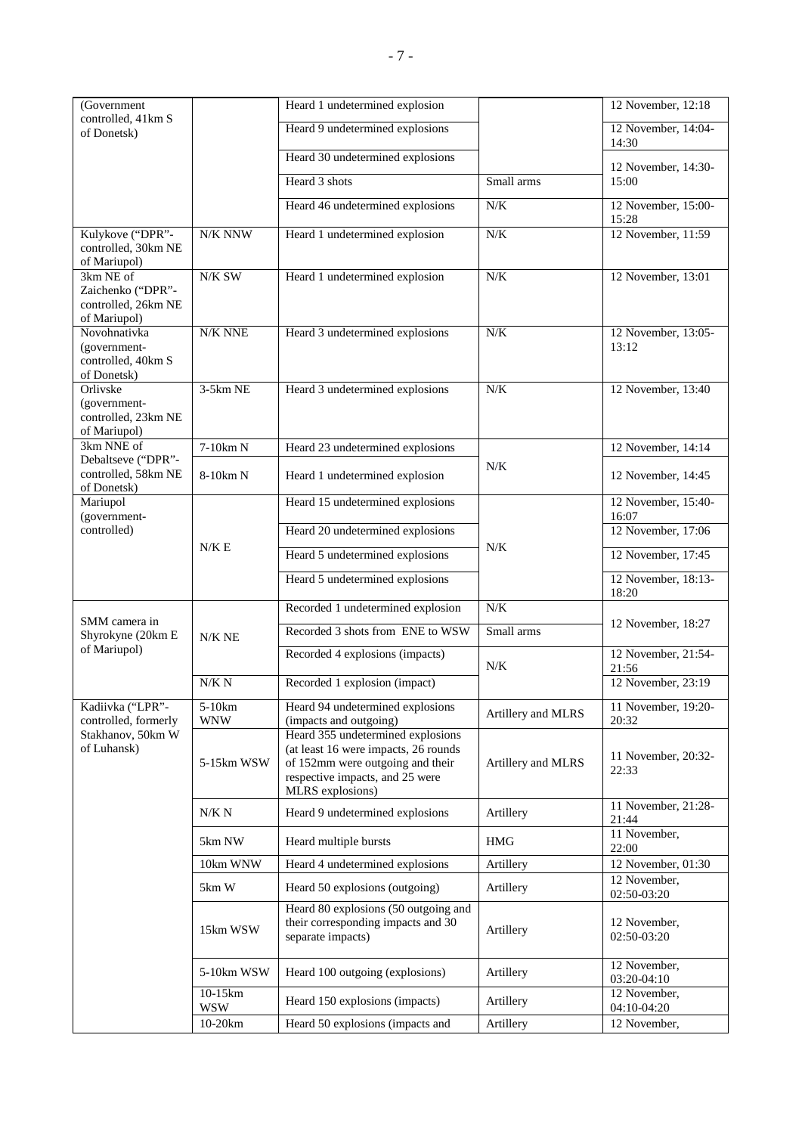| (Government                                                           |                       | Heard 1 undetermined explosion                                                                                                                                       |                    | 12 November, 12:18           |
|-----------------------------------------------------------------------|-----------------------|----------------------------------------------------------------------------------------------------------------------------------------------------------------------|--------------------|------------------------------|
| controlled, 41km S<br>of Donetsk)                                     |                       | Heard 9 undetermined explosions                                                                                                                                      |                    | 12 November, 14:04-<br>14:30 |
|                                                                       |                       | Heard 30 undetermined explosions                                                                                                                                     |                    | 12 November, 14:30-          |
|                                                                       |                       | Heard 3 shots                                                                                                                                                        | Small arms         | 15:00                        |
|                                                                       |                       | Heard 46 undetermined explosions                                                                                                                                     | N/K                | 12 November, 15:00-<br>15:28 |
| Kulykove ("DPR"-<br>controlled, 30km NE<br>of Mariupol)               | $\rm N/K$ NNW         | Heard 1 undetermined explosion                                                                                                                                       | N/K                | 12 November, 11:59           |
| 3km NE of<br>Zaichenko ("DPR"-<br>controlled, 26km NE<br>of Mariupol) | N/K SW                | Heard 1 undetermined explosion                                                                                                                                       | N/K                | 12 November, 13:01           |
| Novohnativka<br>(government-<br>controlled, 40km S<br>of Donetsk)     | N/K NNE               | Heard 3 undetermined explosions                                                                                                                                      | $N/K$              | 12 November, 13:05-<br>13:12 |
| Orlivske<br>(government-<br>controlled, 23km NE<br>of Mariupol)       | 3-5km NE              | Heard 3 undetermined explosions                                                                                                                                      | $N/K$              | 12 November, 13:40           |
| 3km NNE of<br>Debaltseve ("DPR"-                                      | 7-10km N              | Heard 23 undetermined explosions                                                                                                                                     |                    | 12 November, 14:14           |
| controlled, 58km NE<br>of Donetsk)                                    | 8-10km N              | Heard 1 undetermined explosion                                                                                                                                       | $N/K$              | 12 November, 14:45           |
| Mariupol<br>(government-                                              |                       | Heard 15 undetermined explosions                                                                                                                                     |                    | 12 November, 15:40-<br>16:07 |
| controlled)                                                           |                       | Heard 20 undetermined explosions                                                                                                                                     |                    | 12 November, 17:06           |
|                                                                       | N/K E                 | Heard 5 undetermined explosions                                                                                                                                      | $N/K$              | 12 November, 17:45           |
|                                                                       |                       | Heard 5 undetermined explosions                                                                                                                                      |                    | 12 November, 18:13-<br>18:20 |
| SMM camera in                                                         |                       | Recorded 1 undetermined explosion                                                                                                                                    | N/K                |                              |
| Shyrokyne (20km E                                                     | $N/K$ NE              | Recorded 3 shots from ENE to WSW                                                                                                                                     | Small arms         | 12 November, 18:27           |
| of Mariupol)                                                          |                       | Recorded 4 explosions (impacts)                                                                                                                                      | N/K                | 12 November, 21:54-<br>21:56 |
|                                                                       | N/K N                 | Recorded 1 explosion (impact)                                                                                                                                        |                    | 12 November, 23:19           |
| Kadiivka ("LPR"-<br>controlled, formerly                              | 5-10km<br><b>WNW</b>  | Heard 94 undetermined explosions<br>(impacts and outgoing)                                                                                                           | Artillery and MLRS | 11 November, 19:20-<br>20:32 |
| Stakhanov, 50km W<br>of Luhansk)                                      | 5-15km WSW            | Heard 355 undetermined explosions<br>(at least 16 were impacts, 26 rounds<br>of 152mm were outgoing and their<br>respective impacts, and 25 were<br>MLRS explosions) | Artillery and MLRS | 11 November, 20:32-<br>22:33 |
|                                                                       | $N/K$ $\cal N$        | Heard 9 undetermined explosions                                                                                                                                      | Artillery          | 11 November, 21:28-<br>21:44 |
|                                                                       | 5km NW                | Heard multiple bursts                                                                                                                                                | <b>HMG</b>         | 11 November,<br>22:00        |
|                                                                       | 10km WNW              | Heard 4 undetermined explosions                                                                                                                                      | Artillery          | 12 November, 01:30           |
|                                                                       | 5km W                 | Heard 50 explosions (outgoing)                                                                                                                                       | Artillery          | 12 November,<br>02:50-03:20  |
|                                                                       | 15km WSW              | Heard 80 explosions (50 outgoing and<br>their corresponding impacts and 30<br>separate impacts)                                                                      | Artillery          | 12 November,<br>02:50-03:20  |
|                                                                       | 5-10km WSW            | Heard 100 outgoing (explosions)                                                                                                                                      | Artillery          | 12 November,<br>03:20-04:10  |
|                                                                       | 10-15km<br><b>WSW</b> | Heard 150 explosions (impacts)                                                                                                                                       | Artillery          | 12 November,<br>04:10-04:20  |
|                                                                       | 10-20km               | Heard 50 explosions (impacts and                                                                                                                                     | Artillery          | 12 November,                 |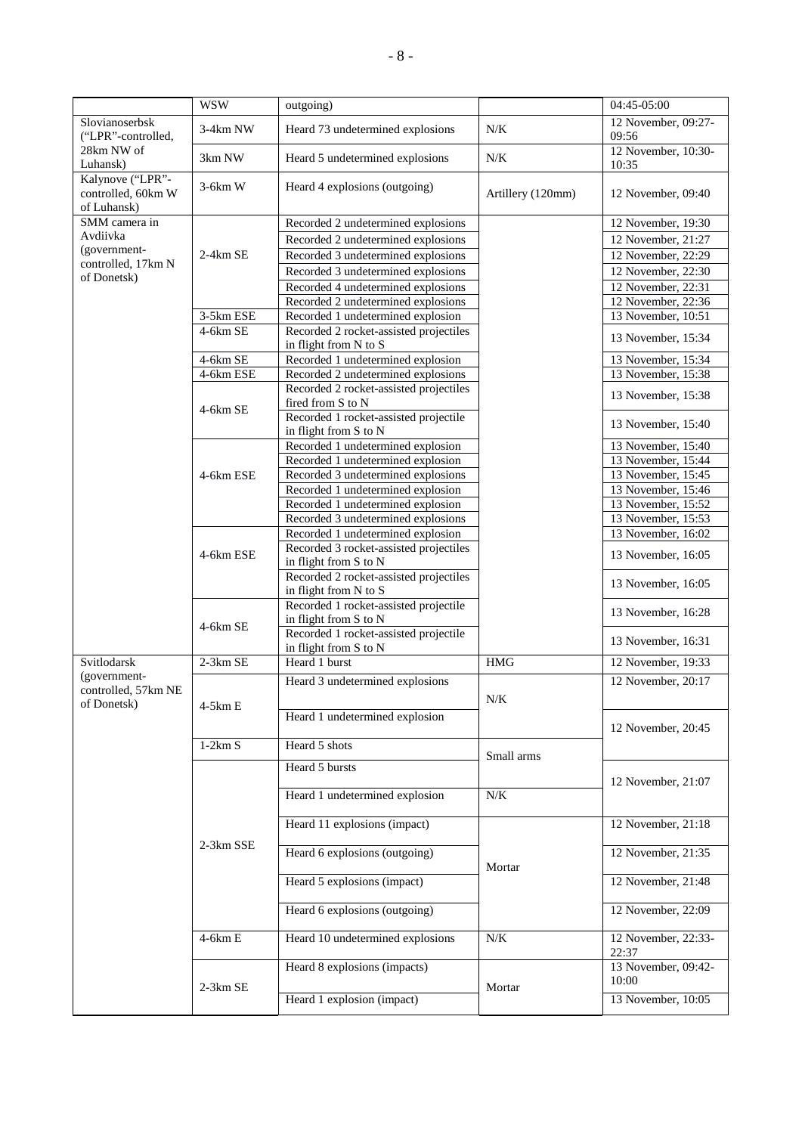|                                                       | <b>WSW</b>              | outgoing)                                                               |                   | 04:45-05:00                              |
|-------------------------------------------------------|-------------------------|-------------------------------------------------------------------------|-------------------|------------------------------------------|
| Slovianoserbsk<br>("LPR"-controlled,                  | 3-4km NW                | Heard 73 undetermined explosions                                        | $N/K$             | 12 November, 09:27-<br>09:56             |
| 28km NW of<br>Luhansk)                                | 3km NW                  | Heard 5 undetermined explosions                                         | N/K               | 12 November, 10:30-<br>10:35             |
| Kalynove ("LPR"-<br>controlled, 60km W<br>of Luhansk) | $3-6km$ W               | Heard 4 explosions (outgoing)                                           | Artillery (120mm) | 12 November, 09:40                       |
| SMM camera in                                         |                         | Recorded 2 undetermined explosions                                      |                   | 12 November, 19:30                       |
| Avdiivka                                              |                         | Recorded 2 undetermined explosions                                      |                   | 12 November, 21:27                       |
| (government-                                          | $2-4km$ SE              | Recorded 3 undetermined explosions                                      |                   | 12 November, 22:29                       |
| controlled, 17km N<br>of Donetsk)                     |                         | Recorded 3 undetermined explosions                                      |                   | 12 November, 22:30                       |
|                                                       |                         | Recorded 4 undetermined explosions                                      |                   | 12 November, 22:31                       |
|                                                       |                         | Recorded 2 undetermined explosions                                      |                   | 12 November, 22:36                       |
|                                                       | 3-5km ESE               | Recorded 1 undetermined explosion                                       |                   | 13 November, 10:51                       |
|                                                       | 4-6km SE                | Recorded 2 rocket-assisted projectiles                                  |                   | 13 November, 15:34                       |
|                                                       |                         | in flight from N to S                                                   |                   |                                          |
|                                                       | $4-6km$ SE<br>4-6km ESE | Recorded 1 undetermined explosion<br>Recorded 2 undetermined explosions |                   | 13 November, 15:34<br>13 November, 15:38 |
|                                                       |                         | Recorded 2 rocket-assisted projectiles                                  |                   |                                          |
|                                                       |                         | fired from S to N                                                       |                   | 13 November, 15:38                       |
|                                                       | 4-6km SE                | Recorded 1 rocket-assisted projectile                                   |                   |                                          |
|                                                       |                         | in flight from S to N                                                   |                   | 13 November, 15:40                       |
|                                                       |                         | Recorded 1 undetermined explosion                                       |                   | 13 November, 15:40                       |
|                                                       |                         | Recorded 1 undetermined explosion                                       |                   | 13 November, 15:44                       |
|                                                       | 4-6km ESE               | Recorded 3 undetermined explosions                                      |                   | 13 November, 15:45                       |
|                                                       |                         | Recorded 1 undetermined explosion                                       |                   | 13 November, 15:46                       |
|                                                       |                         | Recorded 1 undetermined explosion                                       |                   | 13 November, 15:52                       |
|                                                       |                         | Recorded 3 undetermined explosions                                      |                   | 13 November, 15:53                       |
|                                                       |                         | Recorded 1 undetermined explosion                                       |                   | 13 November, 16:02                       |
|                                                       | 4-6km ESE               | Recorded 3 rocket-assisted projectiles<br>in flight from S to N         |                   | 13 November, 16:05                       |
|                                                       |                         | Recorded 2 rocket-assisted projectiles                                  |                   |                                          |
|                                                       |                         | in flight from N to S                                                   |                   | 13 November, 16:05                       |
|                                                       |                         | Recorded 1 rocket-assisted projectile<br>in flight from S to N          |                   | 13 November, 16:28                       |
|                                                       | 4-6km SE                | Recorded 1 rocket-assisted projectile<br>in flight from S to N          |                   | 13 November, 16:31                       |
| Svitlodarsk                                           | 2-3km SE                | Heard 1 burst                                                           | <b>HMG</b>        | 12 November, 19:33                       |
| (government-                                          |                         | Heard 3 undetermined explosions                                         |                   | 12 November, 20:17                       |
| controlled, 57km NE                                   |                         |                                                                         | $N\!/\!K$         |                                          |
| of Donetsk)                                           | $4-5km E$               |                                                                         |                   |                                          |
|                                                       |                         | Heard 1 undetermined explosion                                          |                   | 12 November, 20:45                       |
|                                                       | $1-2km S$               | Heard 5 shots                                                           |                   |                                          |
|                                                       |                         |                                                                         | Small arms        |                                          |
|                                                       |                         | Heard 5 bursts                                                          |                   | 12 November, 21:07                       |
|                                                       |                         | Heard 1 undetermined explosion                                          | N/K               |                                          |
|                                                       |                         | Heard 11 explosions (impact)                                            |                   | 12 November, 21:18                       |
|                                                       | 2-3km SSE               | Heard 6 explosions (outgoing)                                           |                   | 12 November, 21:35                       |
|                                                       |                         |                                                                         | Mortar            |                                          |
|                                                       |                         | Heard 5 explosions (impact)                                             |                   | 12 November, 21:48                       |
|                                                       |                         | Heard 6 explosions (outgoing)                                           |                   | 12 November, 22:09                       |
|                                                       | $4-6km E$               | Heard 10 undetermined explosions                                        | $N/K$             | 12 November, 22:33-<br>22:37             |
|                                                       |                         | Heard 8 explosions (impacts)                                            |                   | 13 November, 09:42-<br>10:00             |
|                                                       | $2-3km$ SE              | Heard 1 explosion (impact)                                              | Mortar            | 13 November, 10:05                       |
|                                                       |                         |                                                                         |                   |                                          |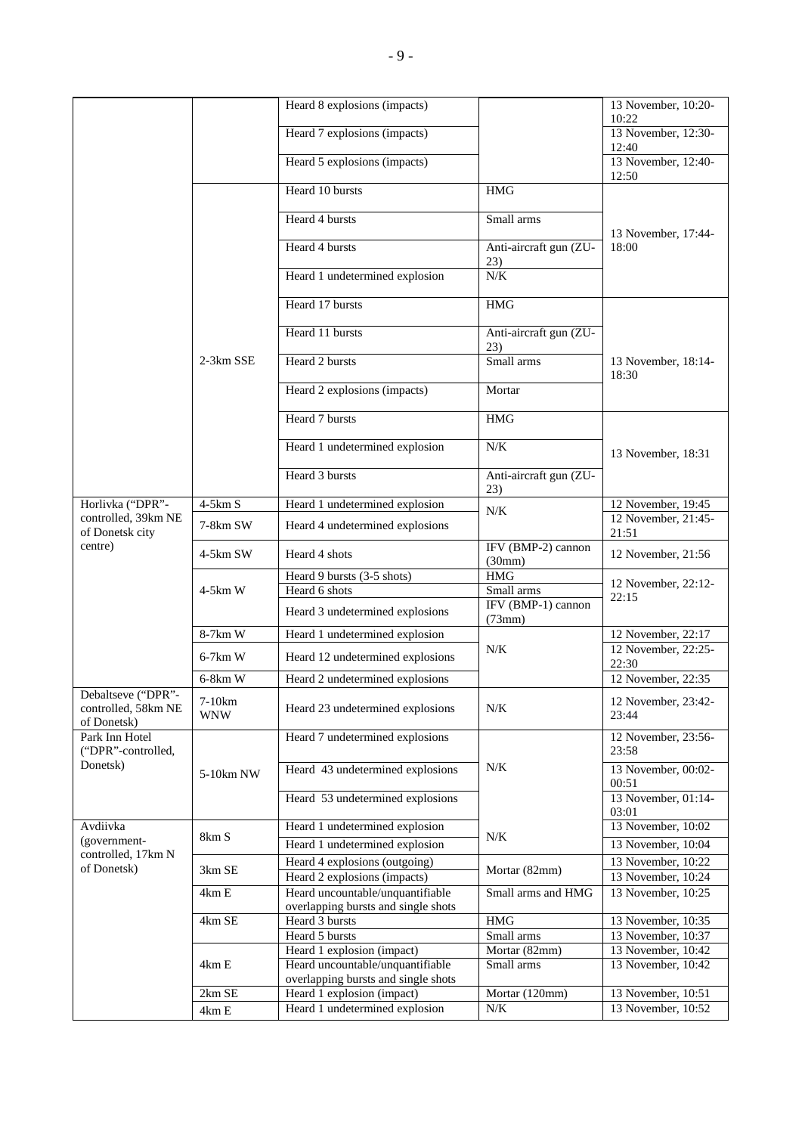|                                      |                              | Heard 8 explosions (impacts)                                  |                               | 13 November, 10:20-                      |
|--------------------------------------|------------------------------|---------------------------------------------------------------|-------------------------------|------------------------------------------|
|                                      |                              |                                                               |                               | 10:22                                    |
|                                      |                              | Heard 7 explosions (impacts)                                  |                               | 13 November, 12:30-                      |
|                                      |                              | Heard 5 explosions (impacts)                                  |                               | 12:40<br>13 November, 12:40-             |
|                                      |                              |                                                               |                               | 12:50                                    |
|                                      |                              | Heard 10 bursts                                               | <b>HMG</b>                    |                                          |
|                                      |                              | Heard 4 bursts                                                | Small arms                    |                                          |
|                                      |                              |                                                               |                               | 13 November, 17:44-                      |
|                                      |                              | Heard 4 bursts                                                | Anti-aircraft gun (ZU-        | 18:00                                    |
|                                      |                              |                                                               | 23)                           |                                          |
|                                      |                              | Heard 1 undetermined explosion                                | N/K                           |                                          |
|                                      |                              | Heard 17 bursts                                               | <b>HMG</b>                    |                                          |
|                                      |                              |                                                               |                               |                                          |
|                                      |                              | Heard 11 bursts                                               | Anti-aircraft gun (ZU-<br>23) |                                          |
|                                      | 2-3km SSE                    | Heard 2 bursts                                                | Small arms                    | 13 November, 18:14-                      |
|                                      |                              |                                                               |                               | 18:30                                    |
|                                      |                              | Heard 2 explosions (impacts)                                  | Mortar                        |                                          |
|                                      |                              | Heard 7 bursts                                                | <b>HMG</b>                    |                                          |
|                                      |                              |                                                               |                               |                                          |
|                                      |                              | Heard 1 undetermined explosion                                | N/K                           | 13 November, 18:31                       |
|                                      |                              | Heard 3 bursts                                                | Anti-aircraft gun (ZU-        |                                          |
|                                      |                              |                                                               | 23)                           |                                          |
| Horlivka ("DPR"-                     | $4-5km S$                    | Heard 1 undetermined explosion                                | $N/K$                         | 12 November, 19:45                       |
| controlled, 39km NE                  | 7-8km SW                     | Heard 4 undetermined explosions                               |                               | 12 November, 21:45-                      |
| of Donetsk city<br>centre)           |                              |                                                               | IFV (BMP-2) cannon            | 21:51                                    |
|                                      | 4-5km SW                     | Heard 4 shots                                                 | (30mm)                        | 12 November, 21:56                       |
|                                      |                              | Heard 9 bursts (3-5 shots)                                    | $\operatorname{HMG}$          | 12 November, 22:12-                      |
|                                      | $4-5km$ W                    | Heard 6 shots                                                 | Small arms                    | 22:15                                    |
|                                      |                              | Heard 3 undetermined explosions                               | IFV (BMP-1) cannon<br>(73mm)  |                                          |
|                                      | 8-7km W                      | Heard 1 undetermined explosion                                |                               | 12 November, 22:17                       |
|                                      | $6-7km$ W                    | Heard 12 undetermined explosions                              | $N/K$                         | 12 November, 22:25-                      |
|                                      |                              |                                                               |                               | 22:30                                    |
| Debaltseve ("DPR"-                   | 6-8km W                      | Heard 2 undetermined explosions                               |                               | 12 November, 22:35                       |
| controlled, 58km NE                  | 7-10km<br><b>WNW</b>         | Heard 23 undetermined explosions                              | $N/K$                         | 12 November, 23:42-                      |
| of Donetsk)                          |                              |                                                               |                               | 23:44                                    |
| Park Inn Hotel<br>("DPR"-controlled, |                              | Heard 7 undetermined explosions                               |                               | 12 November, 23:56-<br>23:58             |
| Donetsk)                             |                              | Heard 43 undetermined explosions                              | N/K                           | 13 November, 00:02-                      |
|                                      | 5-10km NW                    |                                                               |                               | 00:51                                    |
|                                      |                              | Heard 53 undetermined explosions                              |                               | 13 November, 01:14-                      |
|                                      |                              |                                                               |                               | 03:01<br>13 November, 10:02              |
| Avdiivka<br>(government-             | 8km S                        | Heard 1 undetermined explosion                                | N/K                           |                                          |
| controlled, 17km N                   |                              | Heard 1 undetermined explosion                                |                               | 13 November, 10:04<br>13 November, 10:22 |
| of Donetsk)                          | 3km SE                       | Heard 4 explosions (outgoing)<br>Heard 2 explosions (impacts) | Mortar (82mm)                 | 13 November, 10:24                       |
|                                      | 4km E                        | Heard uncountable/unquantifiable                              | Small arms and HMG            | 13 November, 10:25                       |
|                                      |                              | overlapping bursts and single shots                           |                               |                                          |
|                                      | 4km SE                       | Heard 3 bursts                                                | <b>HMG</b>                    | 13 November, 10:35                       |
|                                      |                              | Heard 5 bursts<br>Heard 1 explosion (impact)                  | Small arms<br>Mortar (82mm)   | 13 November, 10:37<br>13 November, 10:42 |
|                                      | 4km E                        | Heard uncountable/unquantifiable                              | Small arms                    | 13 November, 10:42                       |
|                                      |                              | overlapping bursts and single shots                           |                               |                                          |
|                                      | $2 \mathrm{km}\ \mathrm{SE}$ | Heard 1 explosion (impact)                                    | Mortar (120mm)                | 13 November, 10:51                       |
|                                      | $4 \mathrm{km} \to$          | Heard 1 undetermined explosion                                | N/K                           | 13 November, 10:52                       |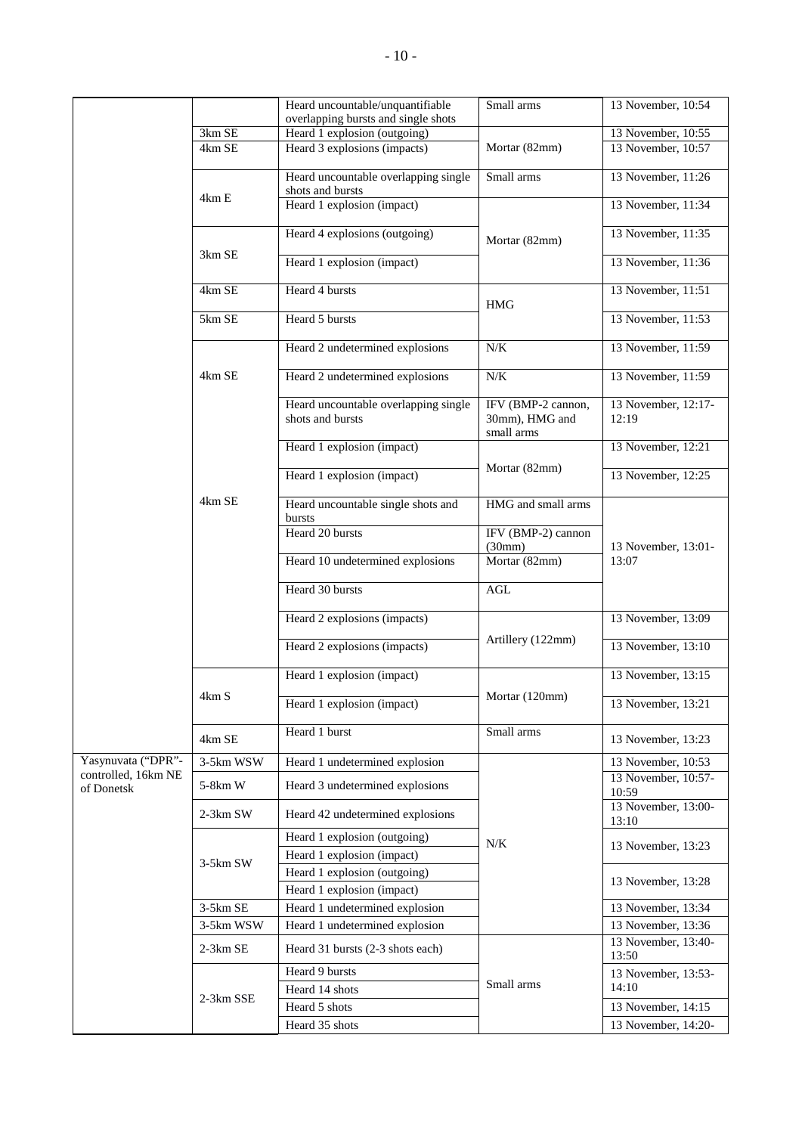|                                   |            | Heard uncountable/unquantifiable                         | Small arms                                         | 13 November, 10:54           |
|-----------------------------------|------------|----------------------------------------------------------|----------------------------------------------------|------------------------------|
|                                   |            | overlapping bursts and single shots                      |                                                    |                              |
|                                   | 3km SE     | Heard 1 explosion (outgoing)                             |                                                    | 13 November, 10:55           |
|                                   | 4km SE     | Heard 3 explosions (impacts)                             | Mortar (82mm)                                      | 13 November, 10:57           |
|                                   | 4km E      | Heard uncountable overlapping single<br>shots and bursts | Small arms                                         | 13 November, 11:26           |
|                                   |            | Heard 1 explosion (impact)                               |                                                    | 13 November, 11:34           |
|                                   |            | Heard 4 explosions (outgoing)                            | Mortar (82mm)                                      | 13 November, 11:35           |
|                                   | 3km SE     | Heard 1 explosion (impact)                               |                                                    | 13 November, 11:36           |
|                                   | 4km SE     | Heard 4 bursts                                           | <b>HMG</b>                                         | 13 November, 11:51           |
|                                   | 5km SE     | Heard 5 bursts                                           |                                                    | 13 November, 11:53           |
|                                   |            | Heard 2 undetermined explosions                          | N/K                                                | 13 November, 11:59           |
|                                   | 4km SE     | Heard 2 undetermined explosions                          | $N\!/\!K$                                          | 13 November, 11:59           |
|                                   |            | Heard uncountable overlapping single<br>shots and bursts | IFV (BMP-2 cannon,<br>30mm), HMG and<br>small arms | 13 November, 12:17-<br>12:19 |
|                                   |            | Heard 1 explosion (impact)                               |                                                    | 13 November, 12:21           |
|                                   |            | Heard 1 explosion (impact)                               | Mortar (82mm)                                      | 13 November, 12:25           |
|                                   | 4km SE     | Heard uncountable single shots and<br>bursts             | HMG and small arms                                 |                              |
|                                   |            | Heard 20 bursts                                          | IFV (BMP-2) cannon                                 |                              |
|                                   |            |                                                          | (30mm)                                             | 13 November, 13:01-          |
|                                   |            | Heard 10 undetermined explosions                         | Mortar (82mm)                                      | 13:07                        |
|                                   |            | Heard 30 bursts                                          | <b>AGL</b>                                         |                              |
|                                   |            | Heard 2 explosions (impacts)                             |                                                    | 13 November, 13:09           |
|                                   |            | Heard 2 explosions (impacts)                             | Artillery (122mm)                                  | 13 November, 13:10           |
|                                   |            | Heard 1 explosion (impact)                               |                                                    | 13 November, 13:15           |
|                                   | 4km S      | Heard 1 explosion (impact)                               | Mortar (120mm)                                     | 13 November, 13:21           |
|                                   | 4km SE     | Heard 1 burst                                            | Small arms                                         | 13 November, 13:23           |
| Yasynuvata ("DPR"-                | 3-5km WSW  | Heard 1 undetermined explosion                           |                                                    | 13 November, 10:53           |
| controlled, 16km NE<br>of Donetsk | 5-8km W    | Heard 3 undetermined explosions                          |                                                    | 13 November, 10:57-          |
|                                   | $2-3km$ SW | Heard 42 undetermined explosions                         |                                                    | 10:59<br>13 November, 13:00- |
|                                   |            | Heard 1 explosion (outgoing)                             |                                                    | 13:10                        |
|                                   |            | Heard 1 explosion (impact)                               | N/K                                                | 13 November, 13:23           |
|                                   | $3-5km$ SW | Heard 1 explosion (outgoing)                             |                                                    |                              |
|                                   |            | Heard 1 explosion (impact)                               |                                                    | 13 November, 13:28           |
|                                   | 3-5km SE   | Heard 1 undetermined explosion                           |                                                    | 13 November, 13:34           |
|                                   | 3-5km WSW  | Heard 1 undetermined explosion                           |                                                    | 13 November, 13:36           |
|                                   | 2-3km SE   | Heard 31 bursts (2-3 shots each)                         |                                                    | 13 November, 13:40-          |
|                                   |            |                                                          |                                                    | 13:50                        |
|                                   |            | Heard 9 bursts<br>Heard 14 shots                         | Small arms                                         | 13 November, 13:53-<br>14:10 |
|                                   | 2-3km SSE  | Heard 5 shots                                            |                                                    | 13 November, 14:15           |
|                                   |            |                                                          |                                                    |                              |
|                                   |            | Heard 35 shots                                           |                                                    | 13 November, 14:20-          |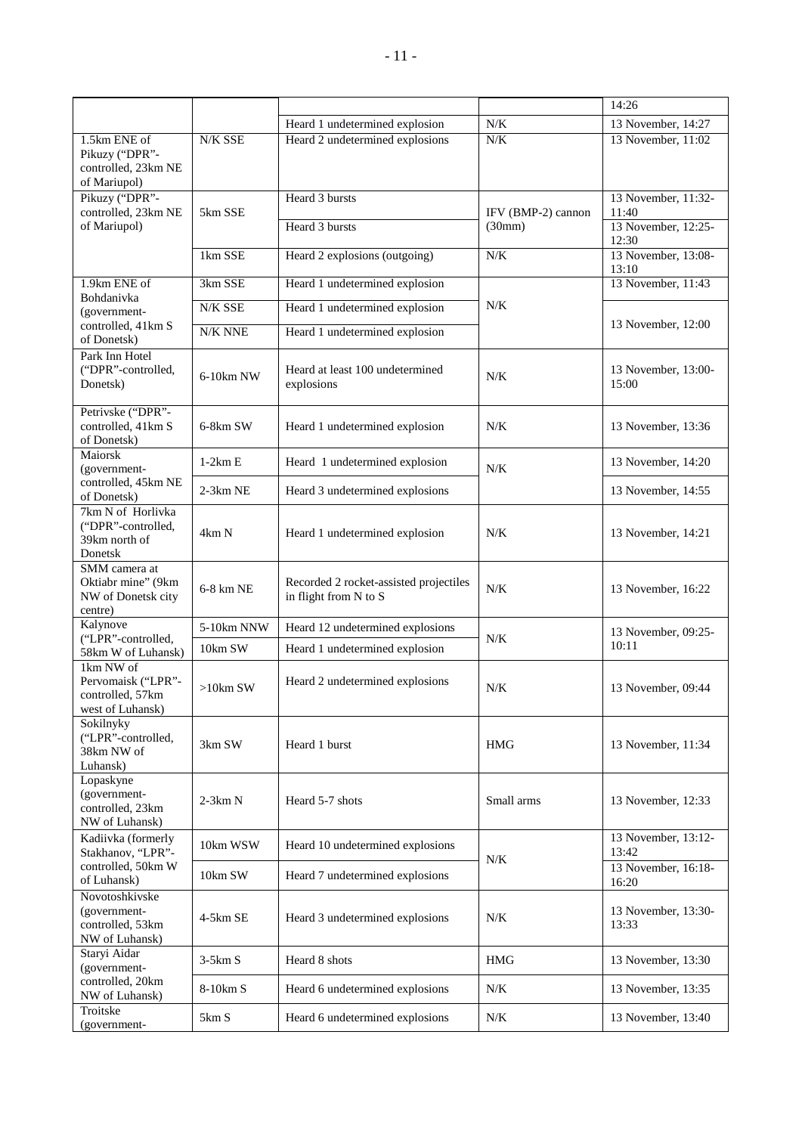|                                                                         |             |                                                                 |                    | 14:26                        |
|-------------------------------------------------------------------------|-------------|-----------------------------------------------------------------|--------------------|------------------------------|
|                                                                         |             | Heard 1 undetermined explosion                                  | N/K                | 13 November, 14:27           |
| 1.5km ENE of<br>Pikuzy ("DPR"-<br>controlled, 23km NE<br>of Mariupol)   | N/K SSE     | Heard 2 undetermined explosions                                 | N/K                | 13 November, 11:02           |
| Pikuzy ("DPR"-<br>controlled, 23km NE                                   | 5km SSE     | Heard 3 bursts                                                  | IFV (BMP-2) cannon | 13 November, 11:32-<br>11:40 |
| of Mariupol)                                                            |             | Heard 3 bursts                                                  | (30mm)             | 13 November, 12:25-<br>12:30 |
|                                                                         | 1km SSE     | Heard 2 explosions (outgoing)                                   | N/K                | 13 November, 13:08-<br>13:10 |
| 1.9km ENE of                                                            | 3km SSE     | Heard 1 undetermined explosion                                  |                    | 13 November, 11:43           |
| Bohdanivka<br>(government-                                              | N/K SSE     | Heard 1 undetermined explosion                                  | N/K                |                              |
| controlled, 41km S<br>of Donetsk)                                       | N/K NNE     | Heard 1 undetermined explosion                                  |                    | 13 November, 12:00           |
| Park Inn Hotel<br>("DPR"-controlled,<br>Donetsk)                        | 6-10km NW   | Heard at least 100 undetermined<br>explosions                   | N/K                | 13 November, 13:00-<br>15:00 |
| Petrivske ("DPR"-<br>controlled, 41km S<br>of Donetsk)                  | 6-8km SW    | Heard 1 undetermined explosion                                  | N/K                | 13 November, 13:36           |
| Maiorsk<br>(government-                                                 | $1-2km E$   | Heard 1 undetermined explosion                                  | N/K                | 13 November, 14:20           |
| controlled, 45km NE<br>of Donetsk)                                      | 2-3km NE    | Heard 3 undetermined explosions                                 |                    | 13 November, 14:55           |
| 7km N of Horlivka<br>("DPR"-controlled,<br>39km north of<br>Donetsk     | 4km N       | Heard 1 undetermined explosion                                  | N/K                | 13 November, 14:21           |
| SMM camera at<br>Oktiabr mine" (9km<br>NW of Donetsk city<br>centre)    | 6-8 km NE   | Recorded 2 rocket-assisted projectiles<br>in flight from N to S | $N/K$              | 13 November, 16:22           |
| Kalynove                                                                | 5-10km NNW  | Heard 12 undetermined explosions                                |                    | 13 November, 09:25-          |
| ("LPR"-controlled,<br>58km W of Luhansk)                                | 10km SW     | Heard 1 undetermined explosion                                  | N/K                | 10:11                        |
| 1km NW of<br>Pervomaisk ("LPR"-<br>controlled, 57km<br>west of Luhansk) | $>10$ km SW | Heard 2 undetermined explosions                                 | N/K                | 13 November, 09:44           |
| Sokilnyky<br>("LPR"-controlled,<br>38km NW of<br>Luhansk)               | 3km SW      | Heard 1 burst                                                   | <b>HMG</b>         | 13 November, 11:34           |
| Lopaskyne<br>(government-<br>controlled, 23km<br>NW of Luhansk)         | $2-3km N$   | Heard 5-7 shots                                                 | Small arms         | 13 November, 12:33           |
| Kadiivka (formerly<br>Stakhanov, "LPR"-                                 | 10km WSW    | Heard 10 undetermined explosions                                |                    | 13 November, 13:12-<br>13:42 |
| controlled, 50km W<br>of Luhansk)                                       | 10km SW     | Heard 7 undetermined explosions                                 | N/K                | 13 November, 16:18-<br>16:20 |
| Novotoshkivske<br>(government-<br>controlled, 53km<br>NW of Luhansk)    | 4-5km SE    | Heard 3 undetermined explosions                                 | N/K                | 13 November, 13:30-<br>13:33 |
| Staryi Aidar<br>(government-                                            | $3-5km S$   | Heard 8 shots                                                   | <b>HMG</b>         | 13 November, 13:30           |
| controlled, 20km<br>NW of Luhansk)                                      | 8-10km S    | Heard 6 undetermined explosions                                 | N/K                | 13 November, 13:35           |
| Troitske<br>(government-                                                | 5km S       | Heard 6 undetermined explosions                                 | N/K                | 13 November, 13:40           |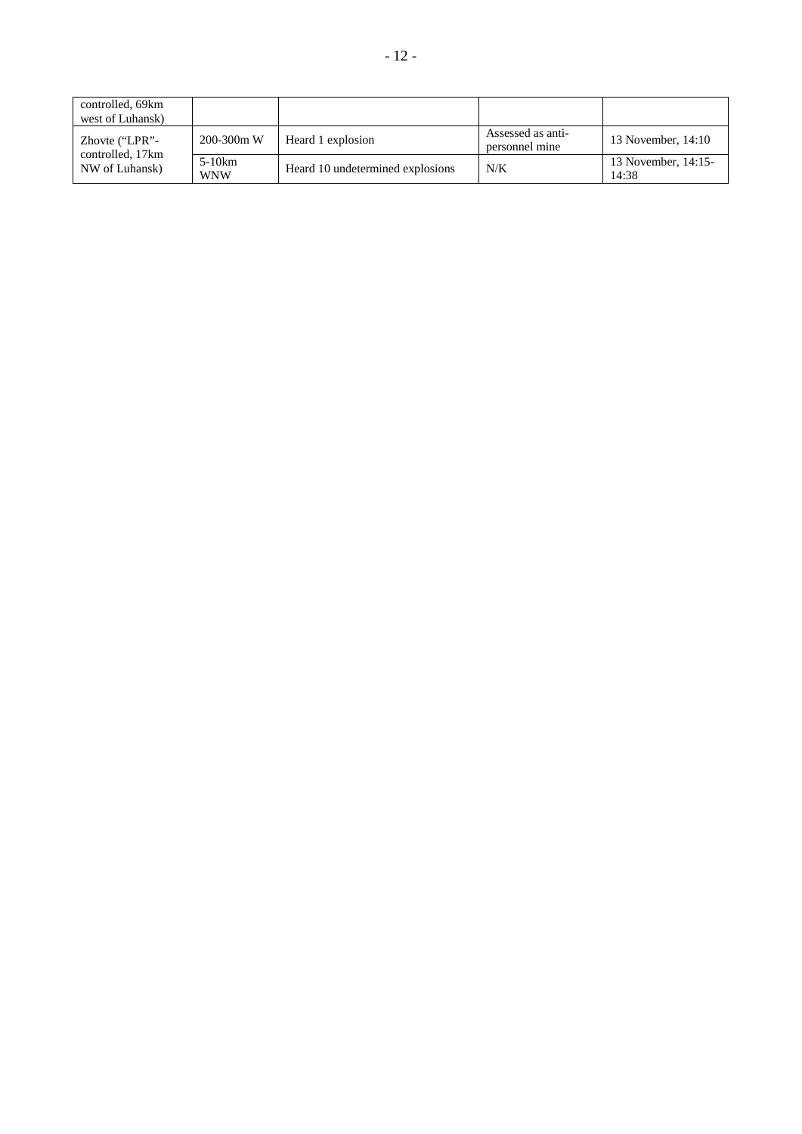| controlled, 69km<br>west of Luhansk) |                        |                                  |                                     |                              |
|--------------------------------------|------------------------|----------------------------------|-------------------------------------|------------------------------|
| Zhovte ("LPR"-                       | $200 - 300m$ W         | Heard 1 explosion                | Assessed as anti-<br>personnel mine | 13 November, 14:10           |
| controlled, 17km<br>NW of Luhansk)   | $5-10km$<br><b>WNW</b> | Heard 10 undetermined explosions | N/K                                 | 13 November, 14:15-<br>14:38 |